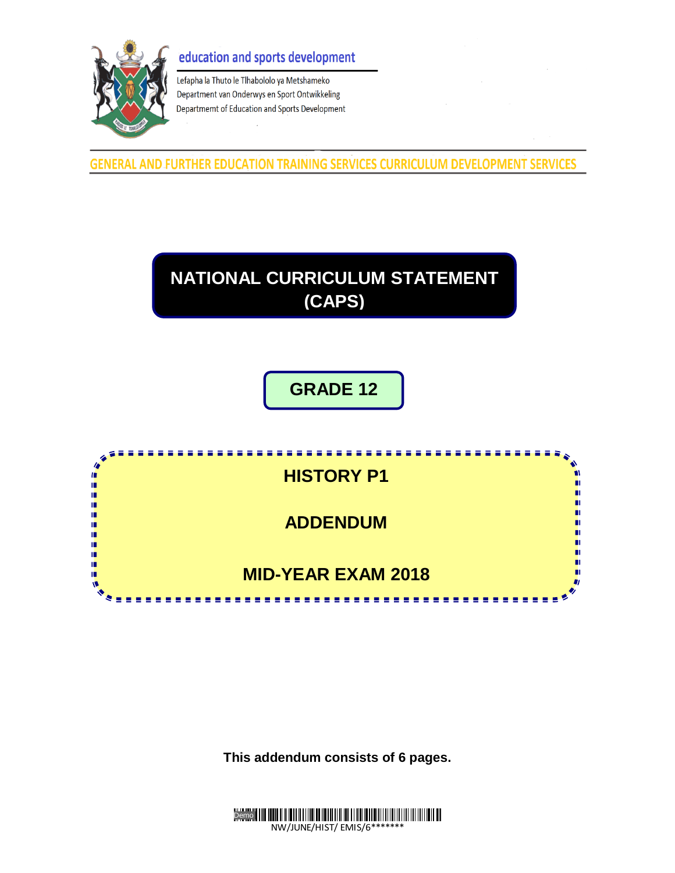### education and sports development



Lefapha la Thuto le Tlhabololo ya Metshameko Department van Onderwys en Sport Ontwikkeling Departmemt of Education and Sports Development

**GENERAL AND FURTHER EDUCATION TRAINING SERVICES CURRICULUM DEVELOPMENT SERVICES** 

# **NATIONAL CURRICULUM STATEMENT (CAPS)**

## **GRADE 12**



**This addendum consists of 6 pages.**

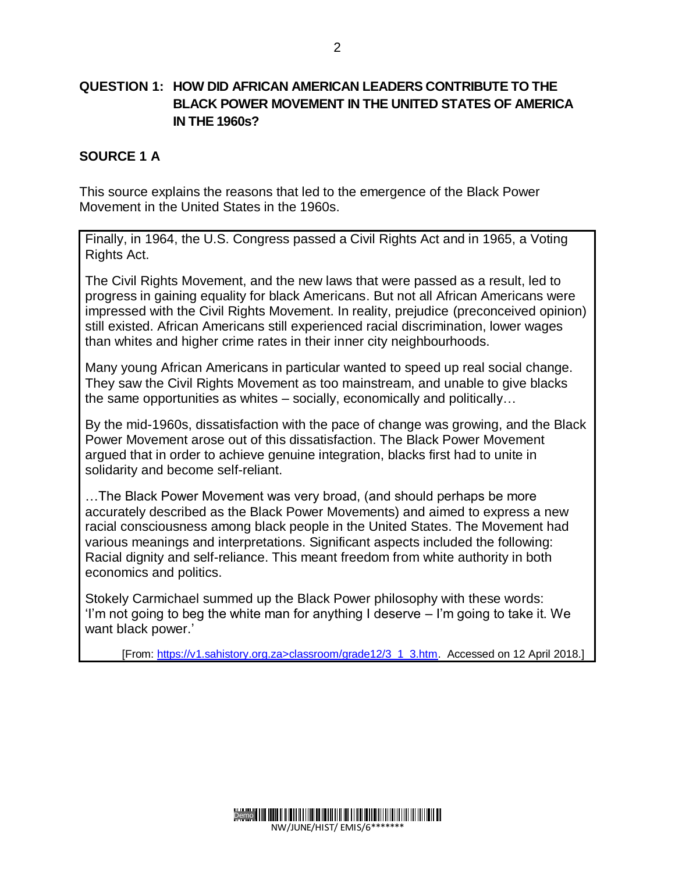#### **QUESTION 1: HOW DID AFRICAN AMERICAN LEADERS CONTRIBUTE TO THE BLACK POWER MOVEMENT IN THE UNITED STATES OF AMERICA IN THE 1960s?**

#### **SOURCE 1 A**

This source explains the reasons that led to the emergence of the Black Power Movement in the United States in the 1960s.

Finally, in 1964, the U.S. Congress passed a Civil Rights Act and in 1965, a Voting Rights Act.

The Civil Rights Movement, and the new laws that were passed as a result, led to progress in gaining equality for black Americans. But not all African Americans were impressed with the Civil Rights Movement. In reality, prejudice (preconceived opinion) still existed. African Americans still experienced racial discrimination, lower wages than whites and higher crime rates in their inner city neighbourhoods.

Many young African Americans in particular wanted to speed up real social change. They saw the Civil Rights Movement as too mainstream, and unable to give blacks the same opportunities as whites – socially, economically and politically…

By the mid-1960s, dissatisfaction with the pace of change was growing, and the Black Power Movement arose out of this dissatisfaction. The Black Power Movement argued that in order to achieve genuine integration, blacks first had to unite in solidarity and become self-reliant.

…The Black Power Movement was very broad, (and should perhaps be more accurately described as the Black Power Movements) and aimed to express a new racial consciousness among black people in the United States. The Movement had various meanings and interpretations. Significant aspects included the following: Racial dignity and self-reliance. This meant freedom from white authority in both economics and politics.

Stokely Carmichael summed up the Black Power philosophy with these words: 'I'm not going to beg the white man for anything I deserve – I'm going to take it. We want black power.'

[From: https://v1.sahistory.org.za>classroom/grade12/3\_1\_3.htm. Accessed on 12 April 2018.]

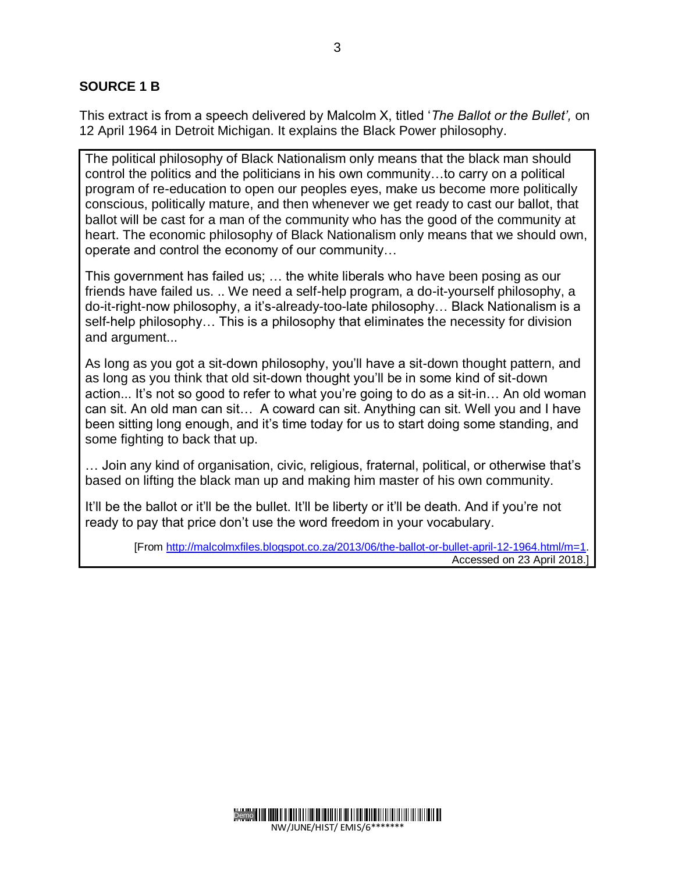#### **SOURCE 1 B**

This extract is from a speech delivered by Malcolm X, titled '*The Ballot or the Bullet',* on 12 April 1964 in Detroit Michigan. It explains the Black Power philosophy.

The political philosophy of Black Nationalism only means that the black man should control the politics and the politicians in his own community…to carry on a political program of re-education to open our peoples eyes, make us become more politically conscious, politically mature, and then whenever we get ready to cast our ballot, that ballot will be cast for a man of the community who has the good of the community at heart. The economic philosophy of Black Nationalism only means that we should own, operate and control the economy of our community…

This government has failed us; … the white liberals who have been posing as our friends have failed us. .. We need a self-help program, a do-it-yourself philosophy, a do-it-right-now philosophy, a it's-already-too-late philosophy… Black Nationalism is a self-help philosophy… This is a philosophy that eliminates the necessity for division and argument...

As long as you got a sit-down philosophy, you'll have a sit-down thought pattern, and as long as you think that old sit-down thought you'll be in some kind of sit-down action... It's not so good to refer to what you're going to do as a sit-in… An old woman can sit. An old man can sit… A coward can sit. Anything can sit. Well you and I have been sitting long enough, and it's time today for us to start doing some standing, and some fighting to back that up.

… Join any kind of organisation, civic, religious, fraternal, political, or otherwise that's based on lifting the black man up and making him master of his own community.

It'll be the ballot or it'll be the bullet. It'll be liberty or it'll be death. And if you're not ready to pay that price don't use the word freedom in your vocabulary.

> [From [http://malcolmxfiles.blogspot.co.za/2013/06/the-ballot-or-bullet-april-12-1964.html/m=1.](http://malcolmxfiles.blogspot.co.za/2013/06/the-ballot-or-bullet-april-12-1964.html/m=1) Accessed on 23 April 2018.]

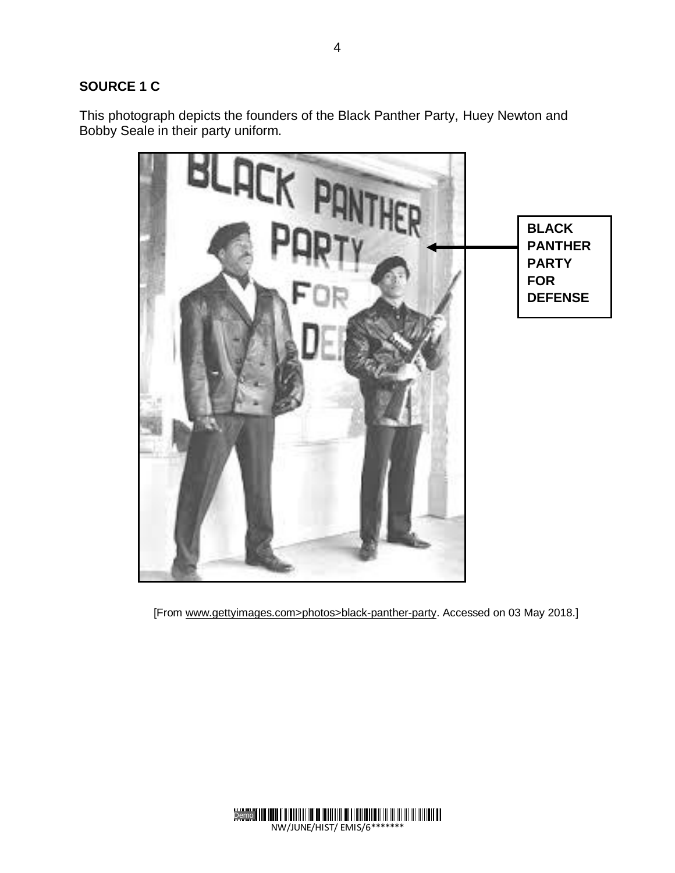#### **SOURCE 1 C**

This photograph depicts the founders of the Black Panther Party, Huey Newton and Bobby Seale in their party uniform.



[From www.gettyimages.com>photos>black-panther-party. Accessed on 03 May 2018.]



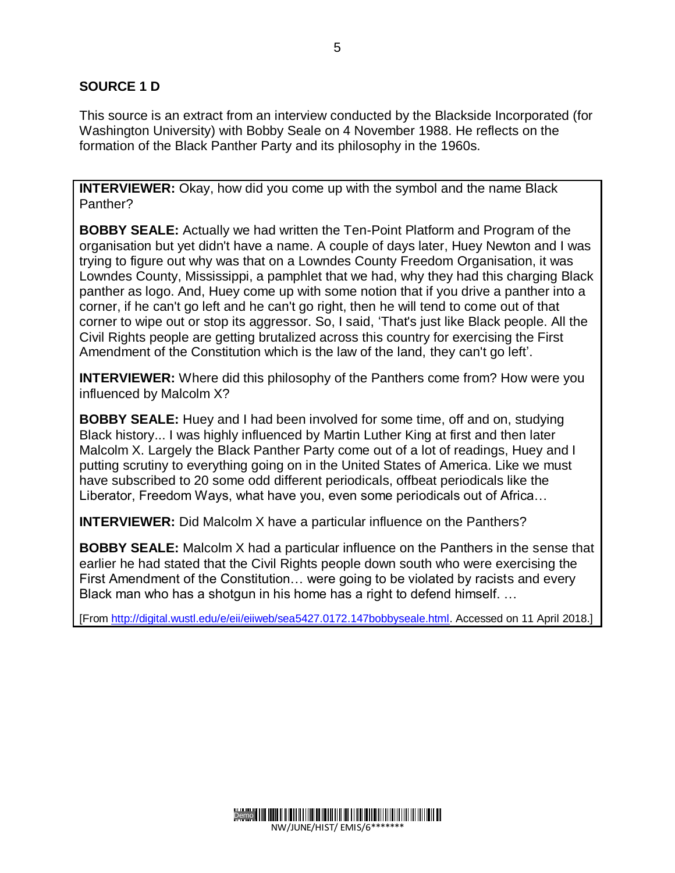#### **SOURCE 1 D**

This source is an extract from an interview conducted by the Blackside Incorporated (for Washington University) with Bobby Seale on 4 November 1988. He reflects on the formation of the Black Panther Party and its philosophy in the 1960s.

**INTERVIEWER:** Okay, how did you come up with the symbol and the name Black Panther?

**BOBBY SEALE:** Actually we had written the Ten-Point Platform and Program of the organisation but yet didn't have a name. A couple of days later, Huey Newton and I was trying to figure out why was that on a Lowndes County Freedom Organisation, it was Lowndes County, Mississippi, a pamphlet that we had, why they had this charging Black panther as logo. And, Huey come up with some notion that if you drive a panther into a corner, if he can't go left and he can't go right, then he will tend to come out of that corner to wipe out or stop its aggressor. So, I said, 'That's just like Black people. All the Civil Rights people are getting brutalized across this country for exercising the First Amendment of the Constitution which is the law of the land, they can't go left'.

**INTERVIEWER:** Where did this philosophy of the Panthers come from? How were you influenced by Malcolm X?

**BOBBY SEALE:** Huey and I had been involved for some time, off and on, studying Black history... I was highly influenced by Martin Luther King at first and then later Malcolm X. Largely the Black Panther Party come out of a lot of readings, Huey and I putting scrutiny to everything going on in the United States of America. Like we must have subscribed to 20 some odd different periodicals, offbeat periodicals like the Liberator, Freedom Ways, what have you, even some periodicals out of Africa…

**INTERVIEWER:** Did Malcolm X have a particular influence on the Panthers?

**BOBBY SEALE:** Malcolm X had a particular influence on the Panthers in the sense that earlier he had stated that the Civil Rights people down south who were exercising the First Amendment of the Constitution… were going to be violated by racists and every Black man who has a shotgun in his home has a right to defend himself. …

[From [http://digital.wustl.edu/e/eii/eiiweb/sea5427.0172.147bobbyseale.html.](http://digital.wustl.edu/e/eii/eiiweb/sea5427.0172.147bobbyseale.html) Accessed on 11 April 2018.]